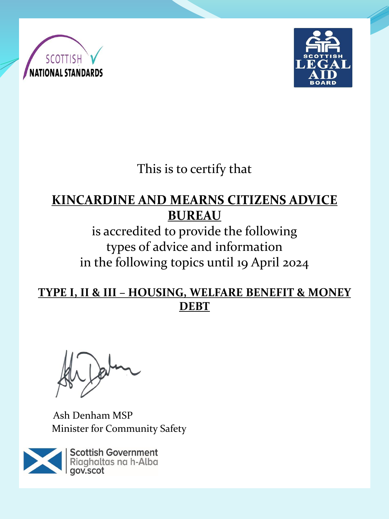



This is to certify that

### **KINCARDINE AND MEARNS CITIZENS ADVICE BUREAU**

is accredited to provide the following types of advice and information in the following topics until 19 April 2024

#### **TYPE I, II & III – HOUSING, WELFARE BENEFIT & MONEY DEBT**

Ash Denham MSP Minister for Community Safety

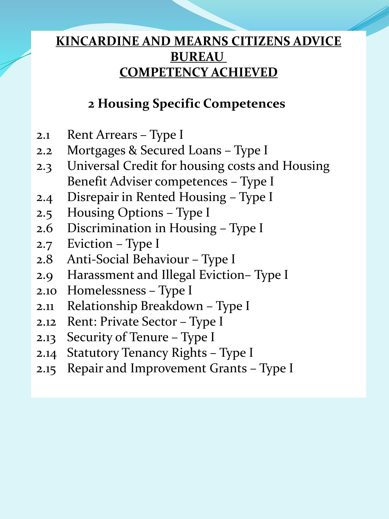### **2 Housing Specific Competences**

- 2.1 Rent Arrears Type I
- 2.2 Mortgages & Secured Loans Type I
- 2.3 Universal Credit for housing costs and Housing Benefit Adviser competences – Type I
- 2.4 Disrepair in Rented Housing Type I
- 2.5 Housing Options Type I
- 2.6 Discrimination in Housing Type I
- 2.7 Eviction Type I
- 2.8 Anti-Social Behaviour Type I
- 2.9 Harassment and Illegal Eviction– Type I
- 2.10 Homelessness Type I
- 2.11 Relationship Breakdown Type I
- 2.12 Rent: Private Sector Type I
- 2.13 Security of Tenure Type I
- 2.14 Statutory Tenancy Rights Type I
- 2.15 Repair and Improvement Grants Type I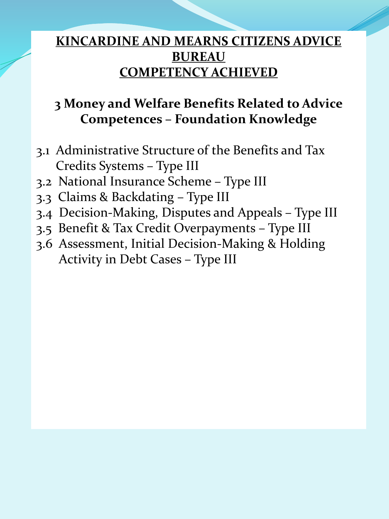# **3 Money and Welfare Benefits Related to Advice Competences – Foundation Knowledge**

- 3.1 Administrative Structure of the Benefits and Tax Credits Systems – Type III
- 3.2 National Insurance Scheme Type III
- 3.3 Claims & Backdating Type III
- 3.4 Decision-Making, Disputes and Appeals Type III
- 3.5 Benefit & Tax Credit Overpayments Type III
- 3.6 Assessment, Initial Decision-Making & Holding Activity in Debt Cases – Type III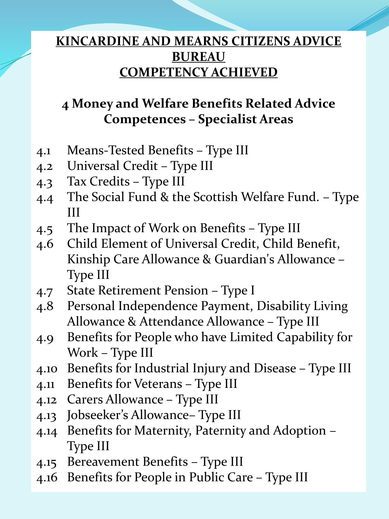# **4 Money and Welfare Benefits Related Advice Competences – Specialist Areas**

- 4.1 Means-Tested Benefits Type III
- 4.2 Universal Credit Type III
- 4.3 Tax Credits Type III
- 4.4 The Social Fund & the Scottish Welfare Fund. Type III
- 4.5 The Impact of Work on Benefits Type III
- 4.6 Child Element of Universal Credit, Child Benefit, Kinship Care Allowance & Guardian's Allowance – Type III
- 4.7 State Retirement Pension Type I
- 4.8 Personal Independence Payment, Disability Living Allowance & Attendance Allowance – Type III
- 4.9 Benefits for People who have Limited Capability for Work – Type III
- 4.10 Benefits for Industrial Injury and Disease Type III
- 4.11 Benefits for Veterans Type III
- 4.12 Carers Allowance Type III
- 4.13 Jobseeker's Allowance– Type III
- 4.14 Benefits for Maternity, Paternity and Adoption Type III
- 4.15 Bereavement Benefits Type III
- 4.16 Benefits for People in Public Care Type III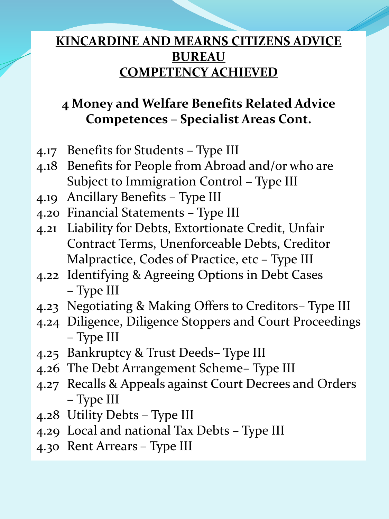# **4 Money and Welfare Benefits Related Advice Competences – Specialist Areas Cont.**

- 4.17 Benefits for Students Type III
- 4.18 Benefits for People from Abroad and/or who are Subject to Immigration Control – Type III
- 4.19 Ancillary Benefits Type III
- 4.20 Financial Statements Type III
- 4.21 Liability for Debts, Extortionate Credit, Unfair Contract Terms, Unenforceable Debts, Creditor Malpractice, Codes of Practice, etc – Type III
- 4.22 Identifying & Agreeing Options in Debt Cases – Type III
- 4.23 Negotiating & Making Offers to Creditors– Type III
- 4.24 Diligence, Diligence Stoppers and Court Proceedings – Type III
- 4.25 Bankruptcy & Trust Deeds– Type III
- 4.26 The Debt Arrangement Scheme– Type III
- 4.27 Recalls & Appeals against Court Decrees and Orders – Type III
- 4.28 Utility Debts Type III
- 4.29 Local and national Tax Debts Type III
- 4.30 Rent Arrears Type III